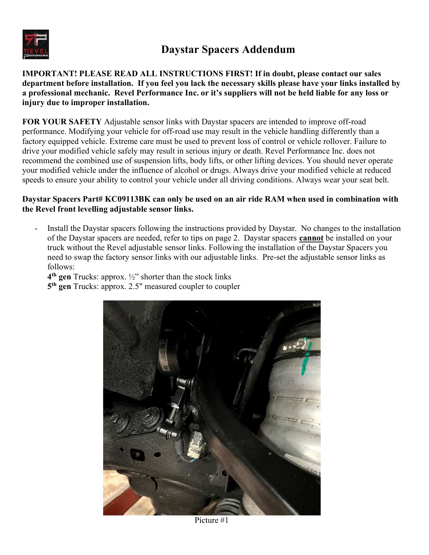

IMPORTANT! PLEASE READ ALL INSTRUCTIONS FIRST! If in doubt, please contact our sales department before installation. If you feel you lack the necessary skills please have your links installed by a professional mechanic. Revel Performance Inc. or it's suppliers will not be held liable for any loss or injury due to improper installation.

FOR YOUR SAFETY Adjustable sensor links with Daystar spacers are intended to improve off-road performance. Modifying your vehicle for off-road use may result in the vehicle handling differently than a factory equipped vehicle. Extreme care must be used to prevent loss of control or vehicle rollover. Failure to drive your modified vehicle safely may result in serious injury or death. Revel Performance Inc. does not recommend the combined use of suspension lifts, body lifts, or other lifting devices. You should never operate your modified vehicle under the influence of alcohol or drugs. Always drive your modified vehicle at reduced speeds to ensure your ability to control your vehicle under all driving conditions. Always wear your seat belt.

## Daystar Spacers Part# KC09113BK can only be used on an air ride RAM when used in combination with the Revel front levelling adjustable sensor links.

- Install the Daystar spacers following the instructions provided by Daystar. No changes to the installation of the Daystar spacers are needed, refer to tips on page 2. Daystar spacers cannot be installed on your truck without the Revel adjustable sensor links. Following the installation of the Daystar Spacers you need to swap the factory sensor links with our adjustable links. Pre-set the adjustable sensor links as follows:

 $4<sup>th</sup>$  gen Trucks: approx.  $\frac{1}{2}$  shorter than the stock links 5<sup>th</sup> gen Trucks: approx. 2.5" measured coupler to coupler



Picture #1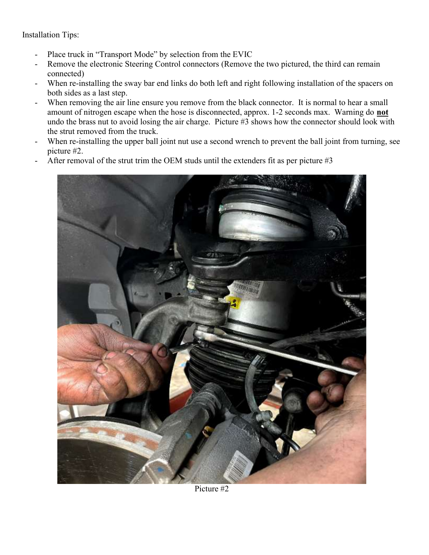Installation Tips:

- Place truck in "Transport Mode" by selection from the EVIC
- Remove the electronic Steering Control connectors (Remove the two pictured, the third can remain connected)
- When re-installing the sway bar end links do both left and right following installation of the spacers on both sides as a last step.
- When removing the air line ensure you remove from the black connector. It is normal to hear a small amount of nitrogen escape when the hose is disconnected, approx. 1-2 seconds max. Warning do not undo the brass nut to avoid losing the air charge. Picture #3 shows how the connector should look with the strut removed from the truck.
- When re-installing the upper ball joint nut use a second wrench to prevent the ball joint from turning, see picture #2.
- After removal of the strut trim the OEM studs until the extenders fit as per picture  $#3$